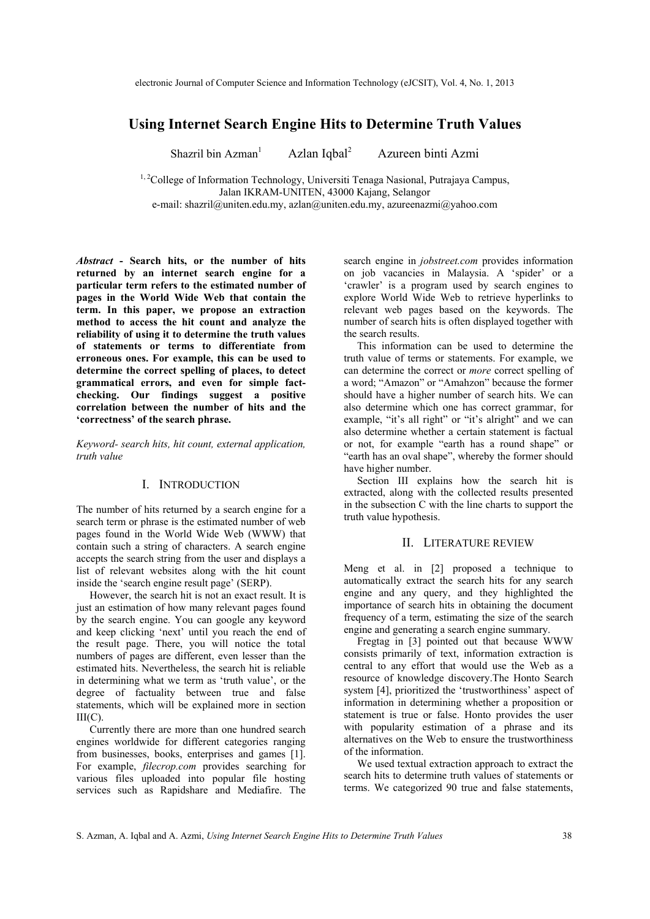# **Using Internet Search Engine Hits to Determine Truth Values**

Shazril bin  $Azman<sup>1</sup>$ Azlan Iqbal<sup>2</sup> Azureen binti Azmi

<sup>1, 2</sup>College of Information Technology, Universiti Tenaga Nasional, Putrajaya Campus, Jalan IKRAM-UNITEN, 43000 Kajang, Selangor e-mail: shazril@uniten.edu.my, azlan@uniten.edu.my, azureenazmi@yahoo.com

*Abstract* **- Search hits, or the number of hits returned by an internet search engine for a particular term refers to the estimated number of pages in the World Wide Web that contain the term. In this paper, we propose an extraction method to access the hit count and analyze the reliability of using it to determine the truth values of statements or terms to differentiate from erroneous ones. For example, this can be used to determine the correct spelling of places, to detect grammatical errors, and even for simple factchecking. Our findings suggest a positive correlation between the number of hits and the 'correctness' of the search phrase.**

*Keyword- search hits, hit count, external application, truth value* 

# I. INTRODUCTION

The number of hits returned by a search engine for a search term or phrase is the estimated number of web pages found in the World Wide Web (WWW) that contain such a string of characters. A search engine accepts the search string from the user and displays a list of relevant websites along with the hit count inside the 'search engine result page' (SERP).

 However, the search hit is not an exact result. It is just an estimation of how many relevant pages found by the search engine. You can google any keyword and keep clicking 'next' until you reach the end of the result page. There, you will notice the total numbers of pages are different, even lesser than the estimated hits. Nevertheless, the search hit is reliable in determining what we term as 'truth value', or the degree of factuality between true and false statements, which will be explained more in section III(C).

 Currently there are more than one hundred search engines worldwide for different categories ranging from businesses, books, enterprises and games [1]. For example, *filecrop.com* provides searching for various files uploaded into popular file hosting services such as Rapidshare and Mediafire. The

search engine in *jobstreet.com* provides information on job vacancies in Malaysia. A 'spider' or a 'crawler' is a program used by search engines to explore World Wide Web to retrieve hyperlinks to relevant web pages based on the keywords. The number of search hits is often displayed together with the search results.

 This information can be used to determine the truth value of terms or statements. For example, we can determine the correct or *more* correct spelling of a word; "Amazon" or "Amahzon" because the former should have a higher number of search hits. We can also determine which one has correct grammar, for example, "it's all right" or "it's alright" and we can also determine whether a certain statement is factual or not, for example "earth has a round shape" or "earth has an oval shape", whereby the former should have higher number.

 Section III explains how the search hit is extracted, along with the collected results presented in the subsection C with the line charts to support the truth value hypothesis.

# II. LITERATURE REVIEW

Meng et al. in [2] proposed a technique to automatically extract the search hits for any search engine and any query, and they highlighted the importance of search hits in obtaining the document frequency of a term, estimating the size of the search engine and generating a search engine summary.

 Fregtag in [3] pointed out that because WWW consists primarily of text, information extraction is central to any effort that would use the Web as a resource of knowledge discovery.The Honto Search system [4], prioritized the 'trustworthiness' aspect of information in determining whether a proposition or statement is true or false. Honto provides the user with popularity estimation of a phrase and its alternatives on the Web to ensure the trustworthiness of the information.

 We used textual extraction approach to extract the search hits to determine truth values of statements or terms. We categorized 90 true and false statements,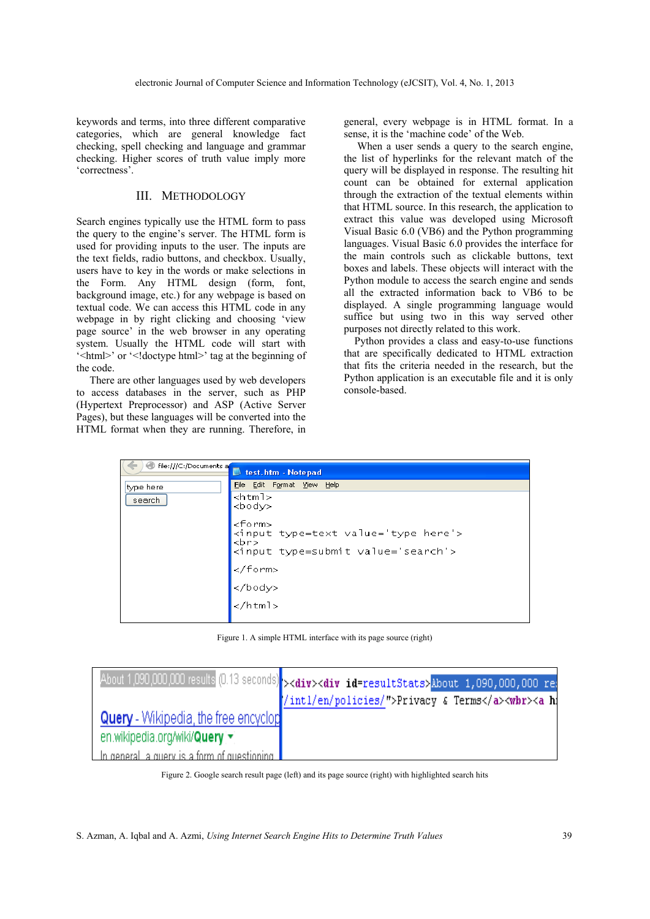keywords and terms, into three different comparative categories, which are general knowledge fact checking, spell checking and language and grammar checking. Higher scores of truth value imply more 'correctness'.

# III. METHODOLOGY

Search engines typically use the HTML form to pass the query to the engine's server. The HTML form is used for providing inputs to the user. The inputs are the text fields, radio buttons, and checkbox. Usually, users have to key in the words or make selections in the Form. Any HTML design (form, font, background image, etc.) for any webpage is based on textual code. We can access this HTML code in any webpage in by right clicking and choosing 'view page source' in the web browser in any operating system. Usually the HTML code will start with '<html>' or '<!doctype html>' tag at the beginning of the code.

 There are other languages used by web developers to access databases in the server, such as PHP (Hypertext Preprocessor) and ASP (Active Server Pages), but these languages will be converted into the HTML format when they are running. Therefore, in

general, every webpage is in HTML format. In a sense, it is the 'machine code' of the Web.

 When a user sends a query to the search engine, the list of hyperlinks for the relevant match of the query will be displayed in response. The resulting hit count can be obtained for external application through the extraction of the textual elements within that HTML source. In this research, the application to extract this value was developed using Microsoft Visual Basic 6.0 (VB6) and the Python programming languages. Visual Basic 6.0 provides the interface for the main controls such as clickable buttons, text boxes and labels. These objects will interact with the Python module to access the search engine and sends all the extracted information back to VB6 to be displayed. A single programming language would suffice but using two in this way served other purposes not directly related to this work.

 Python provides a class and easy-to-use functions that are specifically dedicated to HTML extraction that fits the criteria needed in the research, but the Python application is an executable file and it is only console-based.

| File:///C:/Documents a | test.htm - Notepad                                                                                           |
|------------------------|--------------------------------------------------------------------------------------------------------------|
| type here              | File Edit Format View Help                                                                                   |
| search                 | <html><br/><math>&lt;</math>bod<math>\vee</math></html>                                                      |
|                        | <form><br/><input type="text" value="type here"/><br/><br/><br/><input type="submit" value="search"/></form> |
|                        |                                                                                                              |
|                        | <br>                                                                                                         |
|                        |                                                                                                              |
|                        |                                                                                                              |

Figure 1. A simple HTML interface with its page source (right)

|                                              | About 1,090,000,000 results (0.13 seconds) > <div><div id="resultStats">About 1,090,000,000 re:</div></div> |
|----------------------------------------------|-------------------------------------------------------------------------------------------------------------|
|                                              | /intl/en/policies/">Privacy & Terms <wbr/> <a h<="" th=""></a>                                              |
| <b>Query</b> - Wikipedia, the free encyclop  |                                                                                                             |
| en.wikipedia.org/wiki/Query v                |                                                                                                             |
| In general la guery is a form of guestioning |                                                                                                             |

Figure 2. Google search result page (left) and its page source (right) with highlighted search hits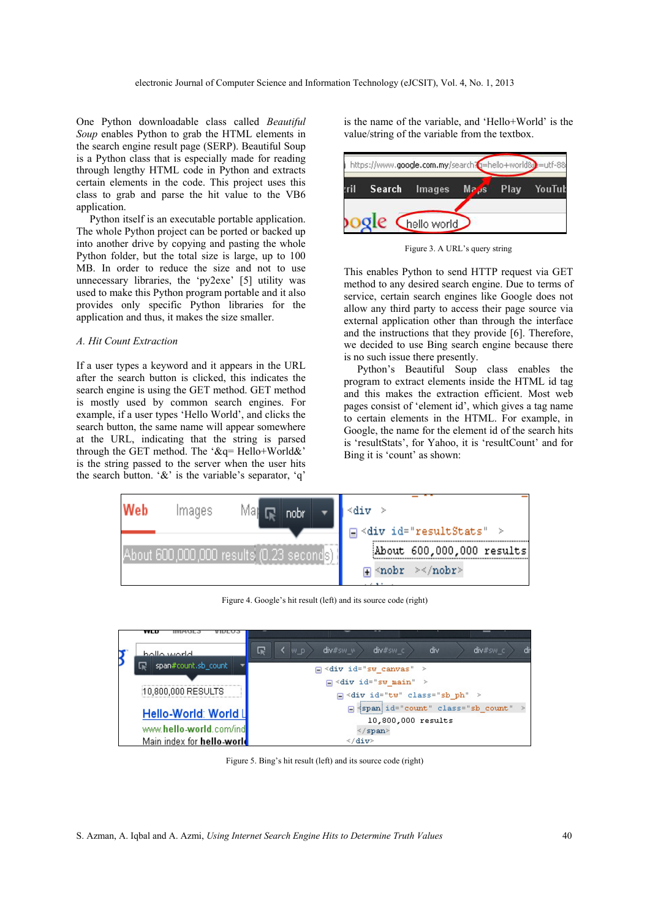One Python downloadable class called *Beautiful Soup* enables Python to grab the HTML elements in the search engine result page (SERP). Beautiful Soup is a Python class that is especially made for reading through lengthy HTML code in Python and extracts certain elements in the code. This project uses this class to grab and parse the hit value to the VB6 application.

 Python itself is an executable portable application. The whole Python project can be ported or backed up into another drive by copying and pasting the whole Python folder, but the total size is large, up to 100 MB. In order to reduce the size and not to use unnecessary libraries, the 'py2exe' [5] utility was used to make this Python program portable and it also provides only specific Python libraries for the application and thus, it makes the size smaller.

### *A. Hit Count Extraction*

If a user types a keyword and it appears in the URL after the search button is clicked, this indicates the search engine is using the GET method. GET method is mostly used by common search engines. For example, if a user types 'Hello World', and clicks the search button, the same name will appear somewhere at the URL, indicating that the string is parsed through the GET method. The '&q= Hello+World&' is the string passed to the server when the user hits the search button.  $\&$  is the variable's separator,  $a'$ 

is the name of the variable, and 'Hello+World' is the value/string of the variable from the textbox.

| :ril |  | Search Images Maps Play YouTub |  |  |  |
|------|--|--------------------------------|--|--|--|
|------|--|--------------------------------|--|--|--|

Figure 3. A URL's query string

This enables Python to send HTTP request via GET method to any desired search engine. Due to terms of service, certain search engines like Google does not allow any third party to access their page source via external application other than through the interface and the instructions that they provide [6]. Therefore, we decided to use Bing search engine because there is no such issue there presently.

 Python's Beautiful Soup class enables the program to extract elements inside the HTML id tag and this makes the extraction efficient. Most web pages consist of 'element id', which gives a tag name to certain elements in the HTML. For example, in Google, the name for the element id of the search hits is 'resultStats', for Yahoo, it is 'resultCount' and for Bing it is 'count' as shown:



Figure 4. Google's hit result (left) and its source code (right)

| <b>AACD</b>                |                                                                        |
|----------------------------|------------------------------------------------------------------------|
| hollo world                | $div#sw$ $w$<br>$div#sw \in$<br>di<br>$div\#sw \in$<br>屎<br>W D<br>div |
| span#count.sb count        | $\Box$ <div id="sw canvas"></div>                                      |
|                            | $\Box$ <div id="sw main"></div>                                        |
| 10,800,000 RESULTS         | $\Box$ <div class="sb ph" id="tw"></div>                               |
| Hello-World: World L       | g {span}id="count" class="sb count"                                    |
|                            | 10,800,000 results                                                     |
| www.hello-world.com/ind    | $\le$ /span>                                                           |
| Main index for hello-world |                                                                        |

Figure 5. Bing's hit result (left) and its source code (right)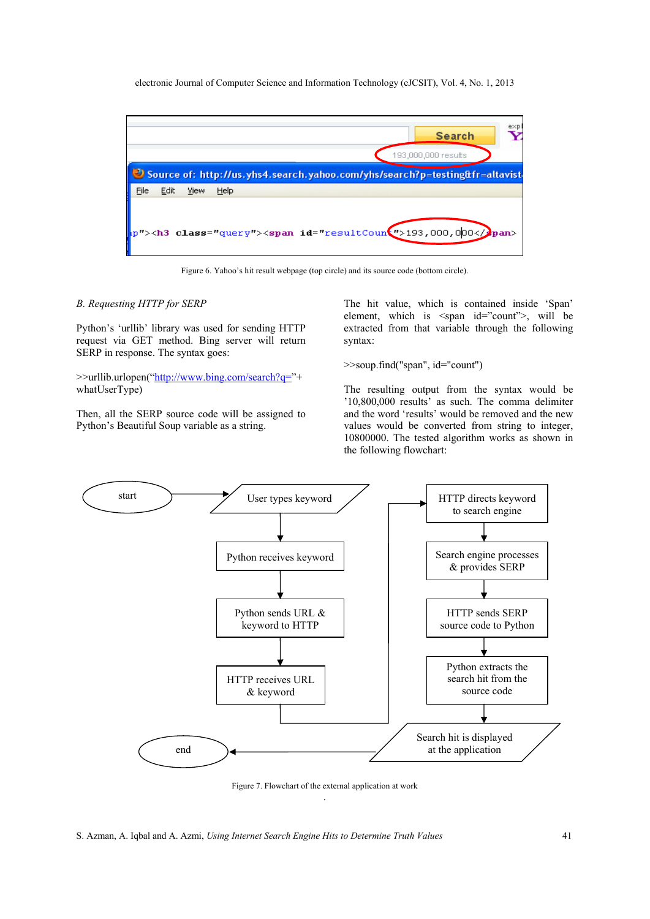electronic Journal of Computer Science and Information Technology (eJCSIT), Vol. 4, No. 1, 2013

| exp<br><b>Search</b>                                                                                                                                                                                                                                                                                        |
|-------------------------------------------------------------------------------------------------------------------------------------------------------------------------------------------------------------------------------------------------------------------------------------------------------------|
| 193,000,000 results                                                                                                                                                                                                                                                                                         |
| Source of: http://us.yhs4.search.yahoo.com/yhs/search?p=testing&fr=altavist                                                                                                                                                                                                                                 |
| File<br>Edit<br>View<br>Help                                                                                                                                                                                                                                                                                |
| i<br>Lihat pendadaran kelajaran kelajaran kelajaran kelajaran kelajaran kelajaran kelajaran kelajaran kelajaran ke<br>Lihat pendadaran kelajaran kelajaran kelajaran kelajaran kelajaran kelajaran kelajaran kelajaran kelajaran ke<br>p"> <h3 class="query"><span id="resultCoun(">193,000,000</span></h3> |

Figure 6. Yahoo's hit result webpage (top circle) and its source code (bottom circle).

### *B. Requesting HTTP for SERP*

Python's 'urllib' library was used for sending HTTP request via GET method. Bing server will return SERP in response. The syntax goes:

>>urllib.urlopen("http://www.bing.com/search?q="+ whatUserType)

Then, all the SERP source code will be assigned to Python's Beautiful Soup variable as a string.

The hit value, which is contained inside 'Span' element, which is <span id="count">, will be extracted from that variable through the following syntax:

>>soup.find("span", id="count")

The resulting output from the syntax would be '10,800,000 results' as such. The comma delimiter and the word 'results' would be removed and the new values would be converted from string to integer, 10800000. The tested algorithm works as shown in the following flowchart:



Figure 7. Flowchart of the external application at work .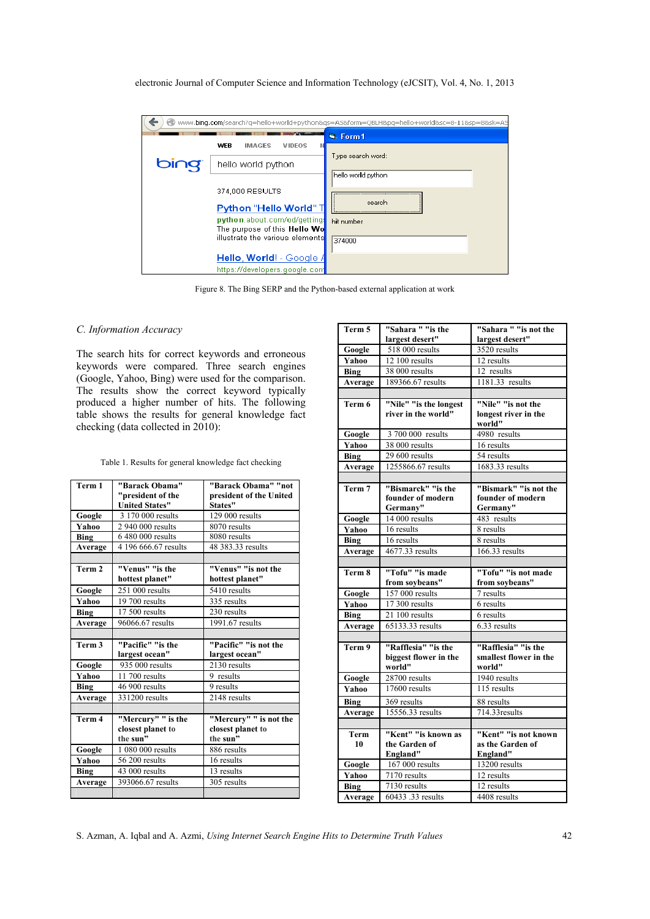| electronic Journal of Computer Science and Information Technology (eJCSIT), Vol. 4, No. 1, 2013 |  |  |
|-------------------------------------------------------------------------------------------------|--|--|
|-------------------------------------------------------------------------------------------------|--|--|

|      |                                                                        | www.bing.com/search?q=hello+world+python&qs=AS&form=QBLH&pq=hello+world≻=8-11&sp=8&sk=A9 |  |
|------|------------------------------------------------------------------------|------------------------------------------------------------------------------------------|--|
|      |                                                                        | <b>N.</b> Form1                                                                          |  |
|      | WEB<br><b>IMAGES</b><br><b>VIDEOS</b>                                  | Type search word:                                                                        |  |
| bing | hello world python                                                     |                                                                                          |  |
|      |                                                                        | hello world python                                                                       |  |
|      | 374,000 RESULTS                                                        |                                                                                          |  |
|      |                                                                        | search                                                                                   |  |
|      | Python "Hello World" T                                                 |                                                                                          |  |
|      | python.about.com/od/getting:                                           | hit number                                                                               |  |
|      | The purpose of this <b>Hello Wo</b><br>illustrate the various elements |                                                                                          |  |
|      |                                                                        | 374000                                                                                   |  |
|      | Hello, World! - Google /                                               |                                                                                          |  |
|      | https://developers.google.com                                          |                                                                                          |  |

Figure 8. The Bing SERP and the Python-based external application at work

# *C. Information Accuracy*

The search hits for correct keywords and erroneous keywords were compared. Three search engines (Google, Yahoo, Bing) were used for the comparison. The results show the correct keyword typically produced a higher number of hits. The following table shows the results for general knowledge fact checking (data collected in 2010):

|  |  |  | Table 1. Results for general knowledge fact checking |
|--|--|--|------------------------------------------------------|
|  |  |  |                                                      |

| Term 1  | "Barack Obama"<br>"president of the | "Barack Obama" "not<br>president of the United |
|---------|-------------------------------------|------------------------------------------------|
|         | <b>United States"</b>               | States"                                        |
| Google  | 3 170 000 results                   | 129 000 results                                |
| Yahoo   | 2 940 000 results                   | 8070 results                                   |
| Bing    | 6 480 000 results                   | 8080 results                                   |
| Average | 4 196 666.67 results                | 48 383.33 results                              |
|         |                                     |                                                |
| Term 2  | "Venus" "is the                     | "Venus" "is not the                            |
|         | hottest planet"                     | hottest planet"                                |
| Google  | 251 000 results                     | 5410 results                                   |
| Yahoo   | 19 700 results                      | 335 results                                    |
| Bing    | 17 500 results                      | 230 results                                    |
| Average | 96066.67 results                    | 1991.67 results                                |
|         |                                     |                                                |
|         |                                     |                                                |
| Term 3  | "Pacific" "is the                   | "Pacific" "is not the                          |
|         | largest ocean"                      | largest ocean"                                 |
| Google  | 935 000 results                     | 2130 results                                   |
| Yahoo   | 11 700 results                      | 9 results                                      |
| Bing    | 46 900 results                      | 9 results                                      |
| Average | 331200 results                      | 2148 results                                   |
|         |                                     |                                                |
| Term 4  | "Mercury" " is the                  | "Mercury" " is not the                         |
|         | closest planet to                   | closest planet to                              |
|         | the sun"                            | the sun"                                       |
| Google  | 1 080 000 results                   | 886 results                                    |
| Yahoo   | 56 200 results                      | 16 results                                     |
| Bing    | 43 000 results                      | 13 results                                     |
| Average | 393066.67 results                   | 305 results                                    |

| Term 5       | "Sahara " "is the                 | "Sahara " "is not the  |  |
|--------------|-----------------------------------|------------------------|--|
|              | largest desert"                   | largest desert"        |  |
| Google       | 518 000 results                   | 3520 results           |  |
| Yahoo        | $12$ 100 results                  | 12 results             |  |
| Bing         | 38 000 results                    | 12 results             |  |
| Average      | 189366.67 results                 | 1181.33 results        |  |
|              |                                   |                        |  |
| Term 6       | "Nile" "is the longest            | "Nile" "is not the     |  |
|              | river in the world"               | longest river in the   |  |
|              |                                   | world"                 |  |
| Google       | 3 700 000 results                 | 4980 results           |  |
| Yahoo        | 38 000 results                    | 16 results             |  |
| <b>Bing</b>  | 29 600 results                    | 54 results             |  |
| Average      | 1255866.67 results                | 1683.33 results        |  |
|              |                                   |                        |  |
| Term 7       | "Bismarck" "is the                | "Bismark" "is not the  |  |
|              | founder of modern                 | founder of modern      |  |
|              | Germany"                          | Germany"               |  |
| Google       | 14 000 results                    | 483 results            |  |
| Yahoo        | 16 results                        | 8 results              |  |
| Bing         | 16 results                        | 8 results              |  |
| Average      | 4677.33 results                   | 166.33 results         |  |
|              |                                   |                        |  |
|              |                                   |                        |  |
| Term 8       | "Tofu" "is made                   | "Tofu" "is not made    |  |
|              | from soybeans"                    | from soybeans"         |  |
| Google       | 157 000 results                   | 7 results              |  |
| Yahoo        | 17 300 results                    | 6 results              |  |
| Bing         | 21 100 results                    | 6 results              |  |
| Average      | $65133.33$ results                | 6.33 results           |  |
|              |                                   |                        |  |
| Term 9       | "Rafflesia" "is the               | "Rafflesia" "is the    |  |
|              | biggest flower in the             | smallest flower in the |  |
|              | world"                            | world"                 |  |
| Google       | 28700 results                     | 1940 results           |  |
| <b>Yahoo</b> | 17600 results                     | 115 results            |  |
| <b>Bing</b>  | 369 results                       | 88 results             |  |
| Average      | 15556.33 results                  | 714.33 results         |  |
|              |                                   |                        |  |
| Term         | "Kent" "is known as               | "Kent" "is not known   |  |
| 10           | the Garden of                     | as the Garden of       |  |
|              | England"                          | England"               |  |
| Google       | $167000$ results                  | 13200 results          |  |
| Yahoo        | 7170 results                      | 12 results             |  |
| Bing         | 7130 results<br>60433 .33 results | 12 results             |  |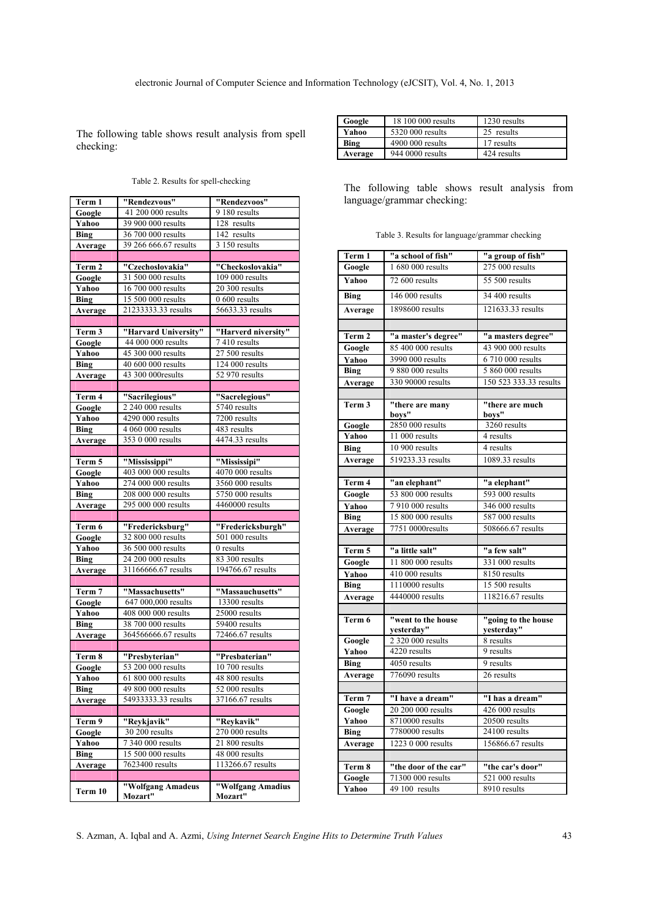The following table shows result analysis from spell checking:

|  |  |  | Table 2. Results for spell-checking |
|--|--|--|-------------------------------------|
|--|--|--|-------------------------------------|

| Term 1      | "Rendezvous"                 | "Rendezvoos"                 |  |
|-------------|------------------------------|------------------------------|--|
| Google      | 41 200 000 results           | 9 180 results                |  |
| Yahoo       | 39 900 000 results           | 128 results                  |  |
| <b>Bing</b> | 36 700 000 results           | $\overline{142}$ results     |  |
| Average     | 39 266 666.67 results        | 3 150 results                |  |
|             |                              |                              |  |
| Term 2      | "Czechoslovakia"             | "Checkoslovakia"             |  |
| Google      | 31 500 000 results           | 109 000 results              |  |
| Yahoo       | 16 700 000 results           | 20 300 results               |  |
| <b>Bing</b> | 15 500 000 results           | 0 600 results                |  |
| Average     | 21233333.33 results          | 56633.33 results             |  |
|             |                              |                              |  |
| Term 3      | "Harvard University"         | "Harverd niversity"          |  |
| Google      | 44 000 000 results           | 7410 results                 |  |
| Yahoo       | 45 300 000 results           | $27500$ results              |  |
| <b>Bing</b> | 40 600 000 results           | 124 000 results              |  |
| Average     | 43 300 000results            | 52 970 results               |  |
|             |                              |                              |  |
| Term 4      | "Sacrilegious"               | "Sacrelegious"               |  |
| Google      | 2 240 000 results            | 5740 results                 |  |
| Yahoo       | 4290 000 results             | 7200 results                 |  |
| <b>Bing</b> | 4 060 000 results            | 483 results                  |  |
| Average     | 353 0 000 results            | 4474.33 results              |  |
|             |                              |                              |  |
| Term 5      | "Mississippi"                | "Mississipi"                 |  |
| Google      | 403 000 000 results          | 4070 000 results             |  |
| Yahoo       | 274 000 000 results          | 3560 000 results             |  |
| <b>Bing</b> | 208 000 000 results          | 5750 000 results             |  |
| Average     | 295 000 000 results          | 4460000 results              |  |
|             |                              |                              |  |
| Term 6      | "Fredericksburg"             | "Fredericksburgh"            |  |
| Google      | 32 800 000 results           | 501 000 results              |  |
| Yahoo       | 36 500 000 results           | 0 results                    |  |
| <b>Bing</b> | 24 200 000 results           | 83 300 results               |  |
| Average     | 31166666.67 results          | 194766.67 results            |  |
|             |                              |                              |  |
| Term 7      | "Massachusetts"              | "Massauchusetts"             |  |
| Google      | 647 000,000 results          | 13300 results                |  |
| Yahoo       | 408 000 000 results          | 25000 results                |  |
| <b>Bing</b> | 38 700 000 results           | 59400 results                |  |
| Average     | 364566666.67 results         | 72466.67 results             |  |
|             |                              |                              |  |
| Term 8      | "Presbyterian"               | "Presbaterian"               |  |
| Google      | 53 200 000 results           | 10 700 results               |  |
| Yahoo       | 61 800 000 results           | 48 800 results               |  |
| Bing        | 49 800 000 results           | 52 000 results               |  |
| Average     | 54933333.33 results          | 37166.67 results             |  |
|             |                              |                              |  |
| Term 9      | "Reykjavik"                  | "Reykavik"                   |  |
| Google      | 30 200 results               | $270000$ results             |  |
| Yahoo       | 7 340 000 results            | 21 800 results               |  |
| <b>Bing</b> | 15 500 000 results           | 48 000 results               |  |
| Average     | 7623400 results              | 113266.67 results            |  |
|             |                              |                              |  |
| Term 10     | "Wolfgang Amadeus<br>Mozart" | "Wolfgang Amadius<br>Mozart" |  |

| Google  | 18 100 000 results | 1230 results |
|---------|--------------------|--------------|
| Yahoo   | 5320 000 results   | 25 results   |
| Bing    | 4900 000 results   | 17 results   |
| Average | 944 0000 results   | 424 results  |
|         |                    |              |

The following table shows result analysis from language/grammar checking:

|  |  | Table 3. Results for language/grammar checking |  |
|--|--|------------------------------------------------|--|
|--|--|------------------------------------------------|--|

| Term 1      | "a school of fish"        | "a group of fish"      |  |
|-------------|---------------------------|------------------------|--|
| Google      | 1 680 000 results         | 275 000 results        |  |
| Yahoo       | 72 600 results            | 55 500 results         |  |
| <b>Bing</b> | 146 000 results           | 34 400 results         |  |
| Average     | 1898600 results           | 121633.33 results      |  |
|             |                           |                        |  |
| Term 2      | "a master's degree"       | "a masters degree"     |  |
| Google      | 85 400 000 results        | 43 900 000 results     |  |
| Yahoo       | 3990 000 results          | 6 710 000 results      |  |
| <b>Bing</b> | 9 880 000 results         | 5 860 000 results      |  |
| Average     | 330 90000 results         | 150 523 333.33 results |  |
|             |                           |                        |  |
| Term 3      | "there are many           | "there are much        |  |
|             | boys"                     | boys"                  |  |
| Google      | 2850 000 results          | 3260 results           |  |
| Yahoo       | 11 000 results            | 4 results              |  |
| <b>Bing</b> | 10 900 results            | 4 results              |  |
| Average     | 519233.33 results         | 1089.33 results        |  |
|             |                           |                        |  |
| Term 4      | "an elephant"             | "a elephant"           |  |
| Google      | 53 800 000 results        | 593 000 results        |  |
| Yahoo       | 7 910 000 results         | 346 000 results        |  |
| Bing        | 15 800 000 results        | 587 000 results        |  |
| Average     | 7751 0000results          | 508666.67 results      |  |
|             |                           |                        |  |
| Term 5      | "a little salt"           | "a few salt"           |  |
| Google      | 11 800 000 results        | 331 000 results        |  |
| Yahoo       | 410 000 results           | 8150 results           |  |
| <b>Bing</b> | 1110000 results           | 15 500 results         |  |
| Average     | 4440000 results           | 118216.67 results      |  |
|             |                           |                        |  |
| Term 6      | "went to the house        | "going to the house    |  |
|             | yesterday"                | yesterday"             |  |
| Google      | 2 320 000 results         | 8 results              |  |
| Yahoo       | 4220 results<br>9 results |                        |  |
| Bing        | 4050 results              | 9 results              |  |
| Average     | 776090 results            | 26 results             |  |
|             |                           |                        |  |
| Term 7      | "I have a dream"          | "I has a dream"        |  |
| Google      | 20 200 000 results        | 426 000 results        |  |
| Yahoo       | 8710000 results           | 20500 results          |  |
| <b>Bing</b> | 7780000 results           | 24100 results          |  |
| Average     | 1223 0 000 results        | 156866.67 results      |  |
|             |                           |                        |  |
| Term 8      | "the door of the car"     | "the car's door"       |  |
| Google      | 71300 000 results         | 521 000 results        |  |
| Yahoo       | 49 100 results            | 8910 results           |  |

S. Azman, A. Iqbal and A. Azmi, *Using Internet Search Engine Hits to Determine Truth Values* 43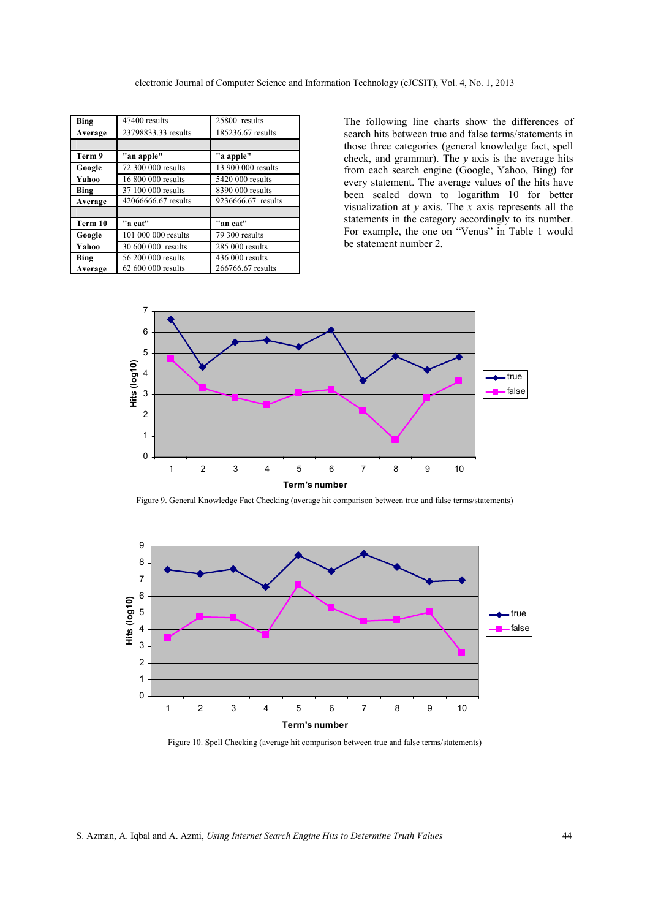| Bing    | 47400 results       | 25800 results      |
|---------|---------------------|--------------------|
| Average | 23798833.33 results | 185236.67 results  |
|         |                     |                    |
| Term 9  | "an apple"          | "a apple"          |
| Google  | 72 300 000 results  | 13 900 000 results |
| Yahoo   | 16 800 000 results  | 5420 000 results   |
| Bing    | 37 100 000 results  | 8390 000 results   |
| Average | 42066666.67 results | 9236666.67 results |
|         |                     |                    |
| Term 10 | "a cat"             | "an cat"           |
| Google  | 101 000 000 results | 79 300 results     |
| Yahoo   | 30 600 000 results  | 285 000 results    |
| Bing    | 56 200 000 results  | 436 000 results    |
| Average | 62 600 000 results  | 266766.67 results  |

The following line charts show the differences of search hits between true and false terms/statements in those three categories (general knowledge fact, spell check, and grammar). The *y* axis is the average hits from each search engine (Google, Yahoo, Bing) for every statement. The average values of the hits have been scaled down to logarithm 10 for better visualization at *y* axis. The *x* axis represents all the statements in the category accordingly to its number. For example, the one on "Venus" in Table 1 would be statement number 2.



Figure 9. General Knowledge Fact Checking (average hit comparison between true and false terms/statements)



Figure 10. Spell Checking (average hit comparison between true and false terms/statements)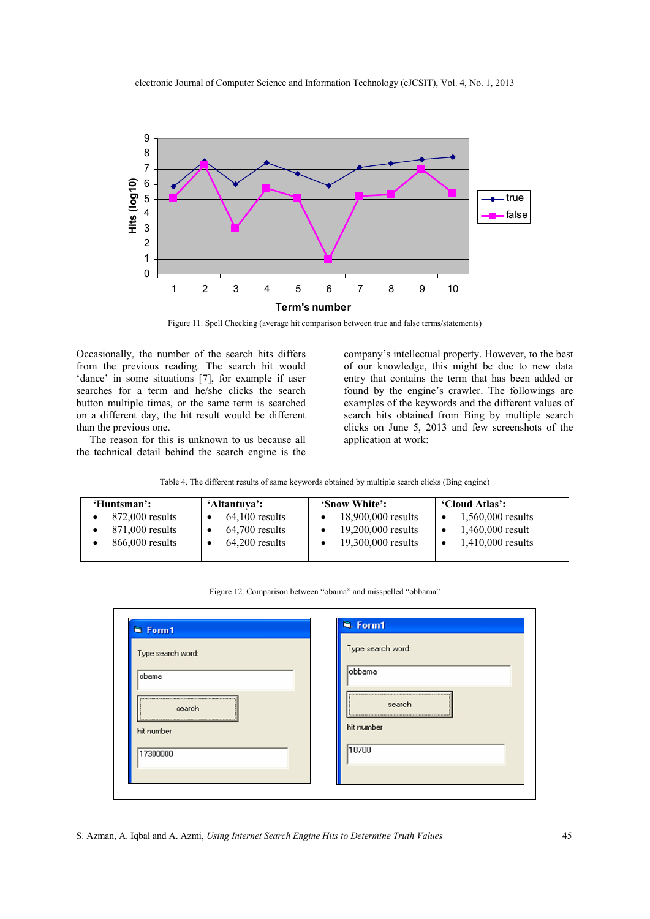

Figure 11. Spell Checking (average hit comparison between true and false terms/statements)

Occasionally, the number of the search hits differs from the previous reading. The search hit would 'dance' in some situations [7], for example if user searches for a term and he/she clicks the search button multiple times, or the same term is searched on a different day, the hit result would be different than the previous one.

 The reason for this is unknown to us because all the technical detail behind the search engine is the

company's intellectual property. However, to the best of our knowledge, this might be due to new data entry that contains the term that has been added or found by the engine's crawler. The followings are examples of the keywords and the different values of search hits obtained from Bing by multiple search clicks on June 5, 2013 and few screenshots of the application at work:

Table 4. The different results of same keywords obtained by multiple search clicks (Bing engine)

| 'Huntsman':       | 'Altantuva':     | 'Snow White':      | 'Cloud Atlas':      |
|-------------------|------------------|--------------------|---------------------|
| 872,000 results   | $64,100$ results | 18,900,000 results | 1,560,000 results   |
| 871,000 results   | $64,700$ results | 19,200,000 results | 1,460,000 result    |
| $866,000$ results | $64,200$ results | 19,300,000 results | $1,410,000$ results |
|                   |                  |                    |                     |

| Type search word:    | Type search word:    |
|----------------------|----------------------|
| obama                | obbama               |
| search<br>hit number | search<br>hit number |
| 17300000             | 10700                |

Figure 12. Comparison between "obama" and misspelled "obbama"